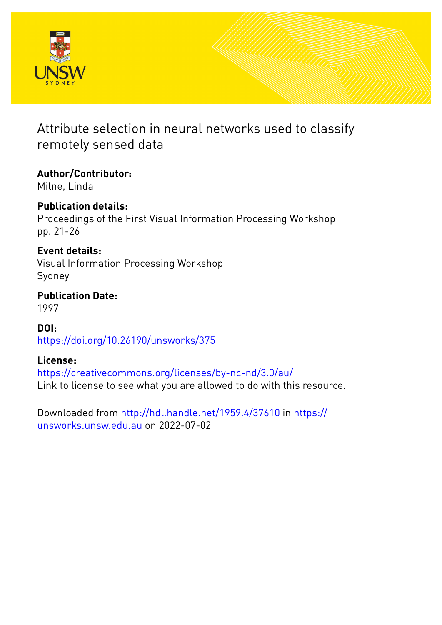

# Attribute selection in neural networks used to classify remotely sensed data

**Author/Contributor:** Milne, Linda

**Publication details:** Proceedings of the First Visual Information Processing Workshop pp. 21-26

# **Event details:**

Visual Information Processing Workshop Sydney

**Publication Date:** 1997

**DOI:** [https://doi.org/10.26190/unsworks/375](http://dx.doi.org/https://doi.org/10.26190/unsworks/375)

## **License:**

<https://creativecommons.org/licenses/by-nc-nd/3.0/au/> Link to license to see what you are allowed to do with this resource.

Downloaded from <http://hdl.handle.net/1959.4/37610> in [https://](https://unsworks.unsw.edu.au) [unsworks.unsw.edu.au](https://unsworks.unsw.edu.au) on 2022-07-02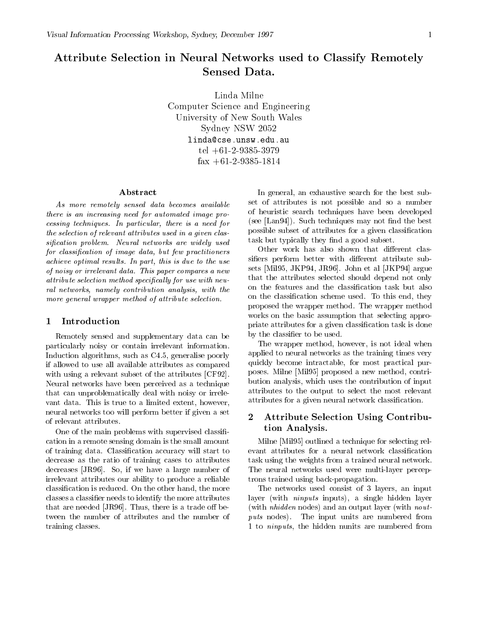# Attribute Selection in Neural Networks used to Classify Remotely

Linda MilneComputer Science and Engineering University of New South Wales  $S_{\rm{S}}$  , where  $\mu$  is the state is not in the set of  $S_{\rm{S}}$ linda@cse.unsw.edu.au  $1 - 1 - 2 - 3000 - 9313$ fax - 

#### Abstract

As more remotely sensed data becomes available there is an increasing need for automated image pro cessing techniques In particular-there is a new particular-there is a new particularthe selection of relevant attributes used in a given clas sification problem. Neural networks are widely used for classication of image data- but few practitioners achieve optimal results In part, which is due to the use the use of noisy or irrelevant data This paper compares a new  $attribute\ selection\ method\ specifically\ for\ use\ with\ new$ ral networks- namely contribution analysis- with the more general wrapper method of attribute selection.

#### Introduction

Remotely sensed and supplementary data can be particularly noisy or contain irrelevant information Induction algorithms- such as C- generalise poorly if allowed to use all available attributes as compared with using a relevant subset of the attributes [CF92]. Neural networks have been perceived as a technique that can unproblematically deal with noisy or irrele vant data This is true to a limited extent-data This is true to a limited extent-data This is true to a limited extentneural networks too will perform better if given a set of relevant attributes

One of the main problems with supervised classi cation in a remote sensing domain is the small amount of training data Classi cation accuracy will start to decrease as the ratio of training cases to attributes decreases Josephy of the second of the second control of the second of the second of the second of the second o irrelevant attributes our ability to produce a reliable classic control in the more than  $\sim$  reduced On the more than  $\sim$  10  $\pm$  0.000  $\pm$  0.000  $\pm$ classes a classical classical classical classical classical classical classical classical classical classical c that are needed JR Thus-definition  $\mathbf{I}$  are needed on between  $\mathbf{I}$ tween the number of attributes and the number of training classes

In general- an exhaustive search for the best sub set of attributes is not possible and so a number of heuristic search techniques have been developed see Lan Such techniques may not techniques may not the best that the best of the best of the best of the best possible subset of attributes for a given classi cation task but typically they made a good subset subset of

Other work has also shown that different classi ers perform betterwith dierent attribute sub sets Mil-John et al John et al John et al. John et al. John et al. John et al. John et al. John et al. John et that the attributes selected should depend not only on the classication scheme used the contract of the contract of the contract of the contract of the contract of proposed the wrapper method The wrapper method works on the basic assumption that selecting appro priate attributes for a given classi cation task is done  $\mathbf{r}$  to be used to be used to be used to be used to be used to be used to be used to be used to be used to be used to be used to be used to be used to be used to be used to be used to be used to be used to be used to

The wrapper method- however- is not ideal when applied to neural networks as the training times very quickly become intractable- for most practical pur poses a new method military proposes a new method of the method . Which uses the contribution of input the contribution of inputs  $\mathcal{L}^{(n)}$ attributes to the output to select the most relevant attributes for a given neural neural network classical neural neural neural neural neural neural neural neural neu $\alpha$ 

## Attribute Selection Using Contribution Analysis

Milne [Mil 95] outlined a technique for selecting reltask using the weights from a trained neural network The neural networks used were multi-layer perceptrons trained using back-propagation.

The networks used consistent of  $\mathcal{L}_\mathcal{S}$  and  $\mathcal{L}_\mathcal{S}$  and input  $\mathcal{L}_\mathcal{S}$  and  $\mathcal{L}_\mathcal{S}$ layer with ninputs inputs- a single hidden layer (with  $nhidden$  nodes) and an output layer (with nout $puts$  nodes). The input units are numbered from to ninguts-behidden numbered from the hidden numbered from the hidden numbered from the hidden numbered from t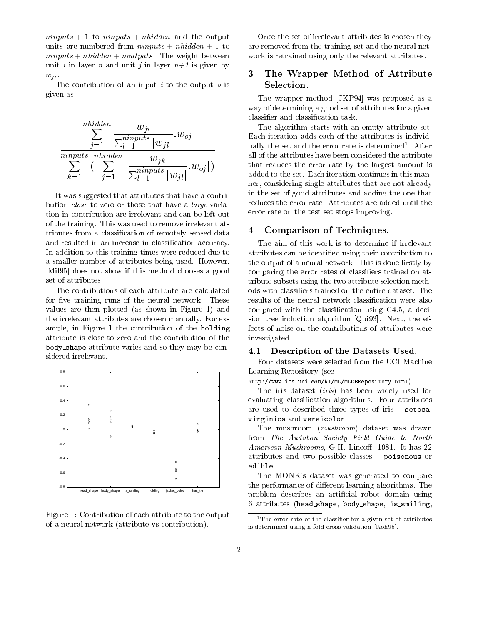$ninputs + 1$  to  $ninputs + nhidden$  and the output units are numbered from  $ninputs + nhidden + 1$  to  $ninputs + nhidden + noutputs$ . The weight between unit *i* in layer *n* and unit *j* in layer  $n+1$  is given by  $w_{ji}$ .<br>The contribution of an input *i* to the output *o* is

given as

$$
\frac{\sum_{j=1}^{nhidden} \frac{w_{ji}}{\sum_{l=1}^{ninputs} |w_{jl}|} w_{oj}}{\sum_{k=1}^{ninputs} \left( \sum_{j=1}^{nhidden} \left| \frac{w_{jk}}{\sum_{l=1}^{ninputs} |w_{jl}|} w_{oj} \right| \right)}
$$

It was suggested that attributes that have a contri bution close to zero or those that have a large varia tion in contribution are irrelevant and can be left out of the training. This was used to remove irrelevant attributes from a classi cation of remotely sensed data and resulted in an increase in classi cation accuracy In addition to this training times were reduced due to a smaller number of attributes being used. However, [Mil95] does not show if this method chooses a good set of attributes.

The contributions of each attribute are calculated for ve training runs of the neural network These values are then plotted (as shown in Figure 1) and the irrelevant attributes are chosen manually. For example- in Figure the contribution of the holding attribute is close to zero and the contribution of the  $\mathbf{b}$  shape at the contribute varies and so they may be contributed by  $\mathbf{b}$ sidered irrelevant



Figure 1: Contribution of each attribute to the output of a neural network (attribute vs contribution).

Once the set of irrelevant attributes is chosen they are removed from the training set and the neural net work is retrained using only the relevant attributes

## The Wrapper Method of Attribute Selection

The wrapper method [JKP94] was proposed as a way of determining a good set of attributes for a given

The algorithm starts with an empty attribute set Each iteration adds each of the attributes is individ ually the set and the error rate is determined After all of the attributes have been considered the attribute that reduces the error rate by the largest amount is added to the set. Each iteration continues in this manner- considering single attributes that are not already in the set of good attributes and adding the one that reduces the error rate. Attributes are added until the error rate on the test set stops improving

#### 4 Comparison of Techniques.

The aim of this work is to determine if irrelevant attributes can be identified using the first contribution to the output of a new model is done that the state of a new model  $\mathcal{C}$ comparing the error rates of classic comparing trained on at the control of  $\alpha$ tribute subsets using the two attribute selection meth compared with the compared compared with  $\alpha$  or  $\alpha$  and  $\alpha$ sion tree induction algorithm quality of the effect  $\sim$ fects of noise on the contributions of attributes were investigated

#### 4.1 Description of the Datasets Used

Four datasets were selected from the UCI Machine Learning Repository (see

httpwww-ics-uci-eduAIMLMLDBRepository-html

The iris dataset *(iris)* has been widely used for evaluation algorithms Four attributes for all contracts for an interesting attributes of the contracts of the contracts of the contracts of the contracts of the contracts of the contracts of the contracts of the contracts are used to described three types of iris  $-$  setosa, virginization virginization version and version of the version of the version of the version of the version of

The mushroom (*mushroom*) dataset was drawn from The Audubon Society Field Guide to North American Mushrooms- GH Linco- It has attributes and two possible classes  $-$  poisonous or edible

The MONK's dataset was generated to compare the performance of different learning algorithms. The problem describes an article contact and article contact using the contact of the contact of the contact of the attributes is seen the shape of the shape of the shape shapes

<sup>&</sup>lt;sup>1</sup>The error rate of the classifier for a given set of attributes is determined using nfold cross validation -Koh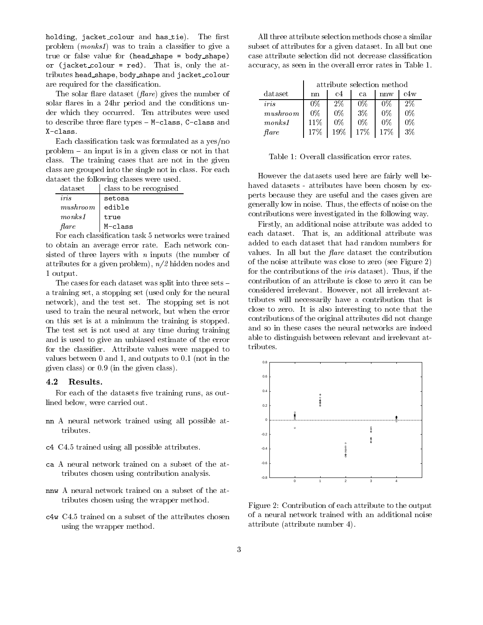holding-packet colour and has tie The Most problem (was to the and continued a classical and give a continued and the state true or false value for  $(head.shape = body.shape)$ or jacket colour red- That is- only the at tributes head shape- body shape and jacket colour are required for the classication and contract the contract of the contract of the contract of the contract of

The solar flare dataset  $(\text{flare})$  gives the number of solar flares in a 24hr period and the conditions under which they occurred. Ten attributes were used to describe three matches of post in **chass-1 c** chass and X-class.

Each classi cation task was formulated as a yesno problem  $-$  an input is in a given class or not in that class. The training cases that are not in the given class are grouped into the single not in class. For each dataset the following classes were used

| iris<br>setosa<br>mushroom<br>edible<br>mons <sub>1</sub><br>true<br>$\emph{flare}$<br>M-class | dataset | class to be recognised |
|------------------------------------------------------------------------------------------------|---------|------------------------|
|                                                                                                |         |                        |
|                                                                                                |         |                        |
|                                                                                                |         |                        |
|                                                                                                |         |                        |

to obtain an average error rate. Each network consisted of three layers with  $n$  inputs (the number of attribute for a given problem-  $\mu$  ,  $\alpha$  , and the state and the state  $\alpha$ 1 output.

The cases for each dataset was split into three sets a stopping set that the neural set only for the neural set only for the neural set only for the neural set of t network-test set the stopping set the stopping set is not the stopping set is not the stopping set is not the s used to train the neural network- but when the error on this set is at a minimum the training is stopped The test set is not used at any time during training and is used to give an unbiased estimate of the error for the classi er Attribute values were mapped to values between the state of these today with the state that the control to the state of the state of the state o given class) or  $0.9$  (in the given class).

#### $4.2$ Results

For each of the datasets ve training runs- as out lined below- were carried out

- nn a neural network trained using an possible at tributes
- c c and trained using the possible attributes are  $\sim$
- ca is a new more called the attention on a subset of the attention of the attention of the attention of the attention tributes chosen using contribution analysis
- tributes chosen using the wrapper method
- com C trained on a subset of the attributes chosen at the attributes chosen at using the wrapper method

All three attribute selection methods chose a similar subset of attributes for a given dataset. In all but one accuracy-backup as seen in the overall error rates in the overall error rates in the overall error rates in Ta

|                  | attribute selection method |       |                      |       |       |
|------------------|----------------------------|-------|----------------------|-------|-------|
| dataset          | nn                         | c4    | ca                   | nnw   | c4w   |
| iris             | $0\%$                      | $2\%$ | 0%                   | 0%    | $2\%$ |
| mushroom         | $0\%$                      | $0\%$ | $3\%$                | $0\%$ | $0\%$ |
| $\n  m onks 1\n$ | 11%                        | $0\%$ | $0\%$                | $0\%$ | $0\%$ |
| flare            | 17%                        |       | $19\%$   17\%   17\% |       | 3%    |

However the datasets used here are fairly well be haved datasets - attributes have been chosen by experts because they are useful and the cases given are generally low in noise Thus- the eects of noise on the contributions were investigated in the following way

Firstly- an additional noise attribute was added to each dataset That is-ditional attribute was additional attribute was additional attribute was additional attribute was additional attribute was additional attribute was additional attribute was additional attribute was add added to each dataset that had random numbers for values. In all but the *flare* dataset the contribution of the noise attribute was close to zero (see Figure 2) for the contributions of the iris dataset Thus- if the contribution of an attribute is close to zero it can be considered irrelevant However- not all irrelevant at tributes will necessarily have a contribution that is close to zero. It is also interesting to note that the contributions of the original attributes did not change and so in these cases the neural networks are indeed able to distinguish between relevant and irrelevant at tributes



Figure 2: Contribution of each attribute to the output of a neural network trained with an additional noise attribute 
attribute number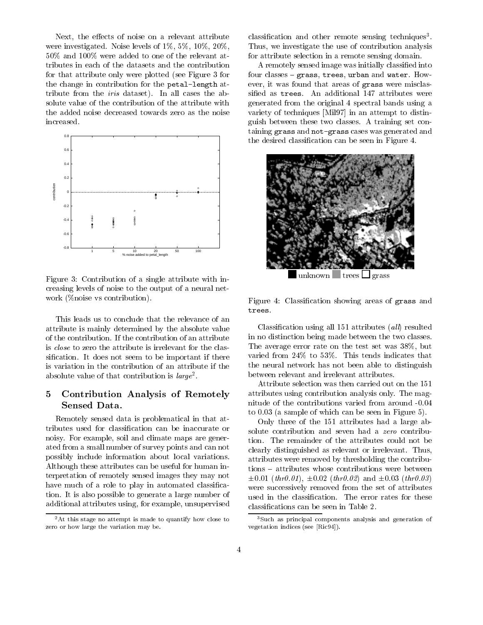Next- the eects of noise on a relevant attribute were investigated Noise levels of - - - - $50\%$  and  $100\%$  were added to one of the relevant attributes in each of the datasets and the contribution for that attribute only were plotted (see Figure 3 for the change in contribution for the petal-length attribute from the *iris* dataset). In all cases the absolute value of the contribution of the attribute with solute value of the contribution of the attribution of the attribution  $\bm{A}$ the added noise decreased towards zero as the noise increased.



Figure 3: Contribution of a single attribute with increasing levels of noise to the output of a neural net work ( $\%$ noise vs contribution).

This leads us to conclude that the relevance of an attribute is mainly determined by the absolute value of the contribution If the contribution of an attribute is close to zero the attribute is irrelevant for the clas si cation It does not seem to be important if there is variation in the contribution of an attribute if the absolute value of that contribution is  $\iota \iota \iota \iota \iota \iota$ .

## Contribution Analysis of Remotely **Sensed Data.**

Remotely sensed data is problematical in that at tributes and the inaccurate cation cation can be in the cation of the case of  $\mathcal{C}_1$ and is for example-in and climate are generated maps are given as ated from a small number of survey points and can not possibly include information about local variations Although these attributes can be useful for human in terpretation of remotely sensed images they may not have much of a role to play in automated classical control to play in automated classical control to play in a tion It is also possible to generate a large number of additional attributes using the example-informal attributes and  $\mu$ 

classi cation and other remote sensing techniques-- we investigate the use of contribution and use  $\mathcal{L}$ for attribute selection in a remote sensing domain

A remotely sensed image was initially classi ed into four classes grass- trees- urban and water How ever, it was found that we have all  $\pi$  -different misclass were misclass were misclass were misclass were misclass were misclass with  $\pi$ generated from the original 4 spectral bands using a variety of techniques [Mil97] in an attempt to distinguish between these two classes A training set con taining grass and not-grass cases was generated and  $\mathbf{f}_{\mathbf{A}}$ 



unknown trees  $\Box$  grass

Figure Classi cation showing areas of grass and

Classi cation using all attributes 
al l resulted in no distinction being made between the two classes The average error rate on the test set was - but varied from  $24\%$  to  $53\%$ . This tends indicates that the neural network has not been able to distinguish between relevant and irrelevant attributes

Attribute selection was then carried out on the attributes using contribution analysis only The mag nitude of the contributions varied from around to  $0.03$  (a sample of which can be seen in Figure 5).

Only three of the  $151$  attributes had a large abtion The remainder of the attributes could not be clearly distinguished as relevant or irrelevant. Thus, attributes were removed by thresholding the contribu tions – attributes whose contributions were between 
thr - 
thr and 
thr were successively removed from the set of attributes

 ${}^{2}$ At this stage no attempt is made to quantify how close to zero or how large the variation may be

<sup>-</sup>Such as principal components analysis and generation of vegetation indices see -Ric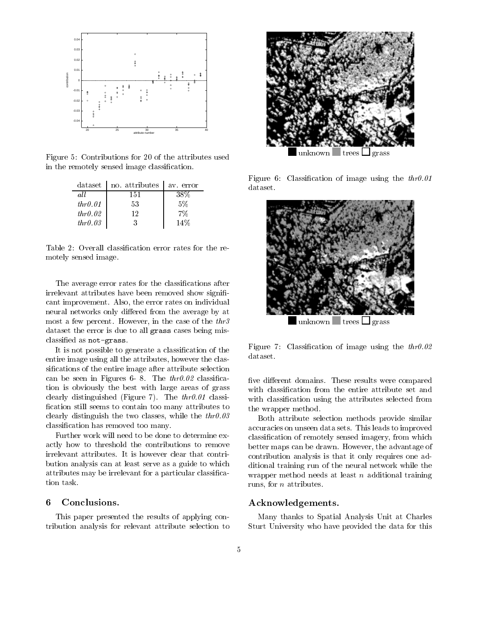

Figure 5: Contributions for 20 of the attributes used in the remotely sensed image classi cation

| dataset | no. attributes | av error |
|---------|----------------|----------|
| all     | 151            | 38%      |
| thr0.01 | 53             | 5%       |
| thr0.02 | 19             | 7%       |
| thr0.03 | 3              | 14%      |

motely sensed image

The average error rates for the classi cations after irrelevant attributes have been removed show signi cant improvement also in individual canter on individual canter. neural networks only differed from the average by at most a few percent However-However-The three cases of the three cases of the three cases of the three cases of dataset the error is due to all grass cases being mis ed as not general contents and contents are a series of the content of the content of the content of the content of the content of the content of the content of the content of the content of the content of the content of t

It is not possible to generate a classi cation of the entire image using all the attributes- however the clas si cations of the entire image after attribute selection can be seen in Figures . The three seconds in Figures . The three seconds in Figures . The three seconds in Figures . tion is obviously the best with large areas of grass clearly distinguished (Figure 7). The  $thr0.01$  classication still seems to contained too manual distribution to a life clearly distinguished the two classes of the two classescation has removed to make the contract of the contract of the contract of the contract of the contract of the

Further work will need to be done to determine ex-Further work will need to be done to determine ex actly how to threshold the contributions to remove irrelevant attributes. It is however clear that contribution analysis can at least serve as a guide to which attribute may be interested and the interest of particular contributions of the contribution of the contribution of the contribution of the contribution of the contribution of the contribution of the contribution of the co tion task

#### 6 Conclusions.

This paper presented the results of applying con tribution analysis for relevant attribute selection to



unknown trees  $\Box$  grass

 $\mathbf{r}_1$  is the cation of image using the three three three three three three three three three three three three three three three three three three three three three three three three three three three three three thre dataset



 $\Box$ unknown  $\Box$ trees  $\Box$ grass

Figure Classi cation of image using the thr dataset

ve die results were compared to die results were compared to the compared to the compared to the compared to the with classication cations selected from the attributes selected from the attributes selected from the selected the wrapper method

 Both attribute selection methods provide similar accuracies on unseen data sets. This leads to improved communication of remotely sensed in communication of the which is a communication of the communication of the communication of the communication of the communication of the communication of the communication of the communi better maps can be drawn However-Communication in the advantage of the advantage of the advantage of the advantage of the advantage of the advantage of the advantage of the advantage of the advantage of the advantage of th contribution analysis is that it only requires one ad ditional training run of the neural network while the wrapper method needs at least  $n$  additional training runs- for <sup>n</sup> attributes

#### Acknowledgements

Many thanks to Spatial Analysis Unit at Charles Sturt University who have provided the data for this